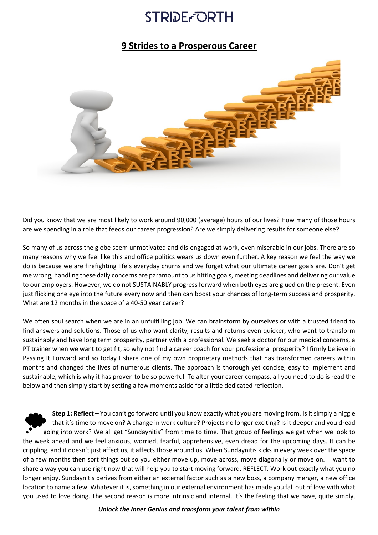### **STRIDE-ORTH**

### **9 Strides to a Prosperous Career**



Did you know that we are most likely to work around 90,000 (average) hours of our lives? How many of those hours are we spending in a role that feeds our career progression? Are we simply delivering results for someone else?

So many of us across the globe seem unmotivated and dis-engaged at work, even miserable in our jobs. There are so many reasons why we feel like this and office politics wears us down even further. A key reason we feel the way we do is because we are firefighting life's everyday churns and we forget what our ultimate career goals are. Don't get me wrong, handling these daily concerns are paramount to us hitting goals, meeting deadlines and delivering our value to our employers. However, we do not SUSTAINABLY progress forward when both eyes are glued on the present. Even just flicking one eye into the future every now and then can boost your chances of long-term success and prosperity. What are 12 months in the space of a 40-50 year career?

We often soul search when we are in an unfulfilling job. We can brainstorm by ourselves or with a trusted friend to find answers and solutions. Those of us who want clarity, results and returns even quicker, who want to transform sustainably and have long term prosperity, partner with a professional. We seek a doctor for our medical concerns, a PT trainer when we want to get fit, so why not find a career coach for your professional prosperity? I firmly believe in Passing It Forward and so today I share one of my own proprietary methods that has transformed careers within months and changed the lives of numerous clients. The approach is thorough yet concise, easy to implement and sustainable, which is why it has proven to be so powerful. To alter your career compass, all you need to do is read the below and then simply start by setting a few moments aside for a little dedicated reflection.

**Step 1: Reflect –** You can't go forward until you know exactly what you are moving from. Is it simply a niggle that it's time to move on? A change in work culture? Projects no longer exciting? Is it deeper and you dread going into work? We all get "Sundaynitis" from time to time. That group of feelings we get when we look to the week ahead and we feel anxious, worried, fearful, apprehensive, even dread for the upcoming days. It can be crippling, and it doesn't just affect us, it affects those around us. When Sundaynitis kicks in every week over the space of a few months then sort things out so you either move up, move across, move diagonally or move on. I want to share a way you can use right now that will help you to start moving forward. REFLECT. Work out exactly what you no longer enjoy. Sundaynitis derives from either an external factor such as a new boss, a company merger, a new office location to name a few. Whatever it is, something in our external environment has made you fall out of love with what you used to love doing. The second reason is more intrinsic and internal. It's the feeling that we have, quite simply,

*Unlock the Inner Genius and transform your talent from within*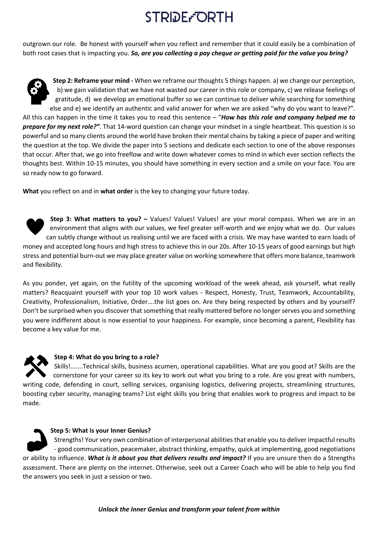# **STRIDE-ORTH**

outgrown our role. Be honest with yourself when you reflect and remember that it could easily be a combination of both root cases that is impacting you. *So, are you collecting a pay cheque or getting paid for the value you bring?*



**Step 2: Reframe your mind -** When we reframe our thoughts 5 things happen. a) we change our perception, b) we gain validation that we have not wasted our career in this role or company, c) we release feelings of gratitude, d) we develop an emotional buffer so we can continue to deliver while searching for something else and e) we identify an authentic and valid answer for when we are asked "why do you want to leave?". All this can happen in the time it takes you to read this sentence – "*How has this role and company helped me to prepare for my next role?"*. That 14-word question can change your mindset in a single heartbeat. This question is so powerful and so many clients around the world have broken their mental chains by taking a piece of paper and writing the question at the top. We divide the paper into 5 sections and dedicate each section to one of the above responses that occur. After that, we go into freeflow and write down whatever comes to mind in which ever section reflects the thoughts best. Within 10-15 minutes, you should have something in every section and a smile on your face. You are so ready now to go forward.

**What** you reflect on and in **what order** is the key to changing your future today.



**Step 3: What matters to you? –** Values! Values! Values! are your moral compass. When we are in an environment that aligns with our values, we feel greater self-worth and we enjoy what we do. Our values can subtly change without us realising until we are faced with a crisis. We may have wanted to earn loads of money and accepted long hours and high stress to achieve this in our 20s. After 10-15 years of good earnings but high stress and potential burn-out we may place greater value on working somewhere that offers more balance, teamwork and flexibility.

As you ponder, yet again, on the futility of the upcoming workload of the week ahead, ask yourself, what really matters? Reacquaint yourself with your top 10 work values - Respect, Honesty, Trust, Teamwork, Accountability, Creativity, Professionalism, Initiative, Order….the list goes on. Are they being respected by others and by yourself? Don't be surprised when you discover that something that really mattered before no longer serves you and something you were indifferent about is now essential to your happiness. For example, since becoming a parent, Flexibility has become a key value for me.



#### **Step 4: What do you bring to a role?**

Skills!.......Technical skills, business acumen, operational capabilities. What are you good at? Skills are the cornerstone for your career so its key to work out what you bring to a role. Are you great with numbers, writing code, defending in court, selling services, organising logistics, delivering projects, streamlining structures, boosting cyber security, managing teams? List eight skills you bring that enables work to progress and impact to be made.

**Step 5: What is your Inner Genius?**  Strengths! Your very own combination of interpersonal abilities that enable you to deliver impactful results - good communication, peacemaker, abstract thinking, empathy, quick at implementing, good negotiations or ability to influence. *What is it about you that delivers results and impact?* If you are unsure then do a Strengths assessment. There are plenty on the internet. Otherwise, seek out a Career Coach who will be able to help you find the answers you seek in just a session or two.